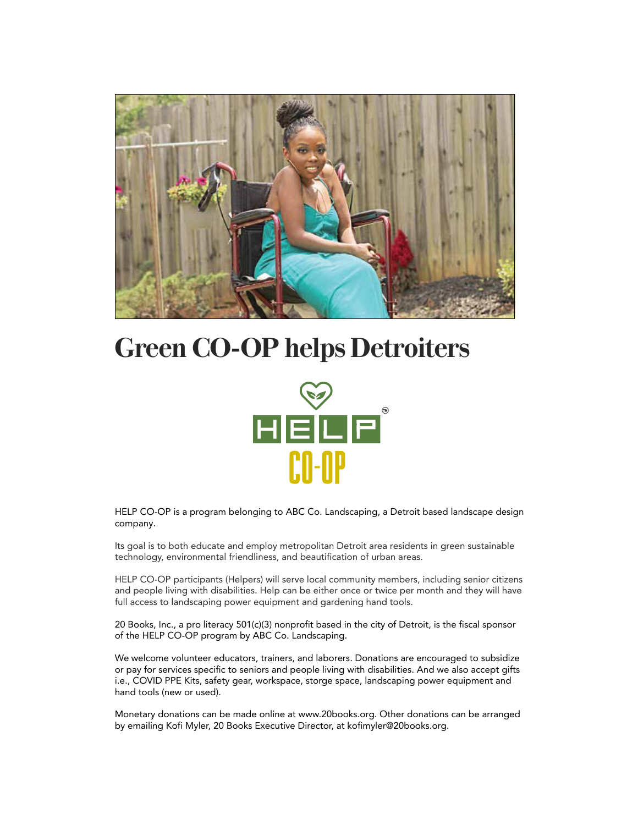

## **Green CO-OP helps Detroiters**



HELP CO-OP is a program belonging to ABC Co. Landscaping, a Detroit based landscape design company.

Its goal is to both educate and employ metropolitan Detroit area residents in green sustainable technology, environmental friendliness, and beautification of urban areas.

HELP CO-OP participants (Helpers) will serve local community members, including senior citizens and people living with disabilities. Help can be either once or twice per month and they will have full access to landscaping power equipment and gardening hand tools.

20 Books, Inc., a pro literacy 501(c)(3) nonprofit based in the city of Detroit, is the fiscal sponsor of the HELP CO-OP program by ABC Co. Landscaping.

We welcome volunteer educators, trainers, and laborers. Donations are encouraged to subsidize or pay for services specific to seniors and people living with disabilities. And we also accept gifts i.e., COVID PPE Kits, safety gear, workspace, storge space, landscaping power equipment and hand tools (new or used).

Monetary donations can be made online at www.20books.org. Other donations can be arranged by emailing Kofi Myler, 20 Books Executive Director, at kofimyler@20books.org.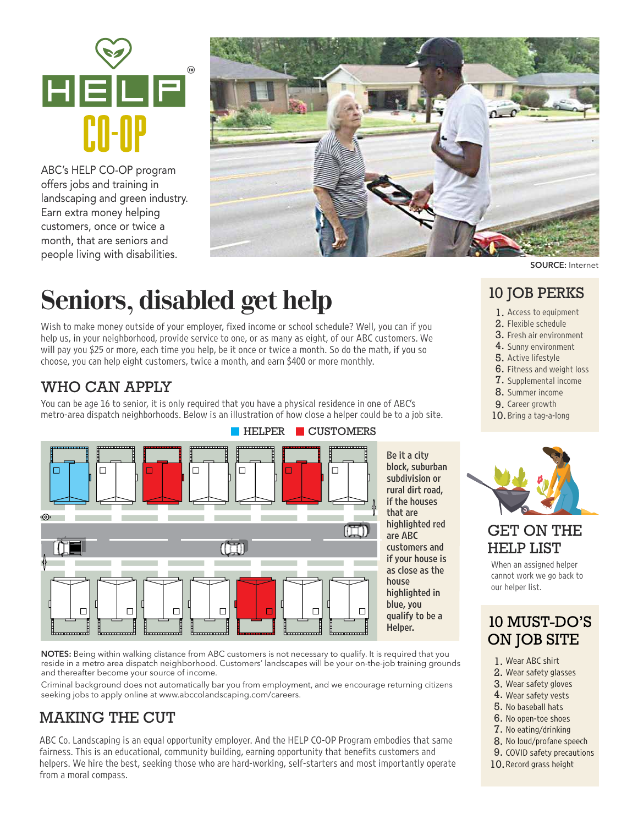

ABC's HELP CO-OP program offers jobs and training in landscaping and green industry. Earn extra money helping customers, once or twice a month, that are seniors and people living with disabilities.



**SOURCE:** Internet

# **Seniors, disabled get help**

Wish to make money outside of your employer, fixed income or school schedule? Well, you can if you help us, in your neighborhood, provide service to one, or as many as eight, of our ABC customers. We will pay you \$25 or more, each time you help, be it once or twice a month. So do the math, if you so choose, you can help eight customers, twice a month, and earn \$400 or more monthly.

## WHO CAN APPLY

You can be age 16 to senior, it is only required that you have a physical residence in one of ABC's metro-area dispatch neighborhoods. Below is an illustration of how close a helper could be to a job site.



Be it a city block, suburban subdivision or rural dirt road, if the houses that are highlighted red are ABC customers and if your house is as close as the house highlighted in blue, you qualify to be a Helper.

**NOTES:** Being within walking distance from ABC customers is not necessary to qualify. It is required that you reside in a metro area dispatch neighborhood. Customers' landscapes will be your on-the-job training grounds and thereafter become your source of income.

Criminal background does not automatically bar you from employment, and we encourage returning citizens seeking jobs to apply online at www.abccolandscaping.com/careers.

## MAKING THE CUT

ABC Co. Landscaping is an equal opportunity employer. And the HELP CO-OP Program embodies that same fairness. This is an educational, community building, earning opportunity that benefits customers and helpers. We hire the best, seeking those who are hard-working, self-starters and most importantly operate from a moral compass.

## 10 JOB PERKS

- 1. Access to equipment
- ${\bf 2.}$  Flexible schedule
- $\boldsymbol{3}.$  Fresh air environment
- 4. Sunny environment
- ${\bf 5}.$  Active lifestyle
- 6. Fitness and weight loss
- 7. Supplemental income
- 8. Summer income
- **9.** Career growth
- 10. Bring a tag-a-long



## GET ON THE HELP LIST

When an assigned helper cannot work we go back to our helper list.

## 10 MUST-DO'S ON JOB SITE

- 1. Wear ABC shirt
- **2.** Wear safety glasses
- Wear safety gloves 3.
- 4. Wear safety vests
- **5.** No baseball hats
- 6. No open-toe shoes
- 7. No eating/drinking
- 8. No loud/profane speech
- 9. COVID safety precautions
- 10. Record grass height